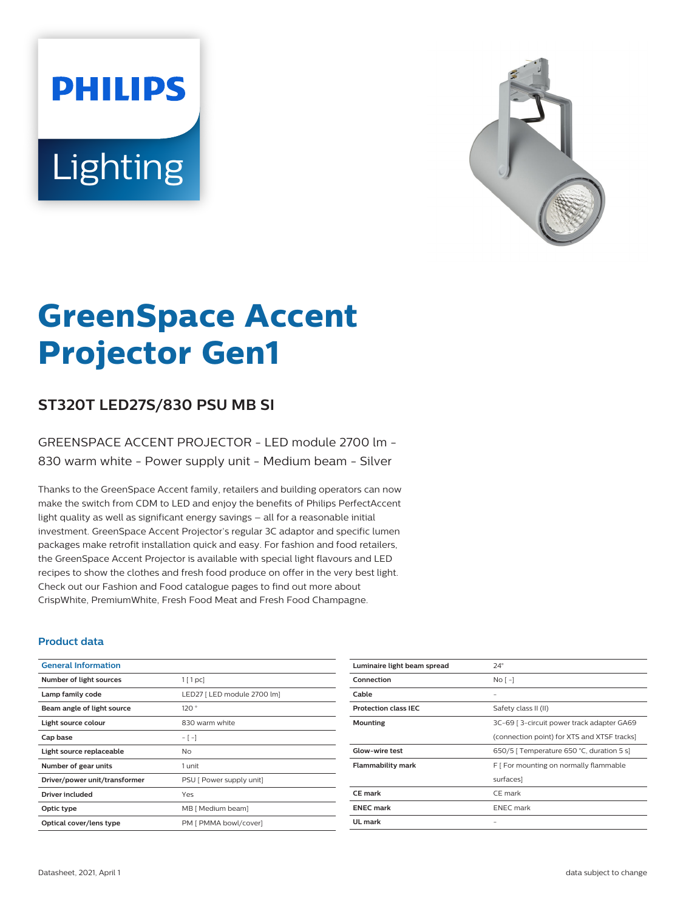# **PHILIPS** Lighting



# **GreenSpace Accent Projector Gen1**

# **ST320T LED27S/830 PSU MB SI**

### GREENSPACE ACCENT PROJECTOR - LED module 2700 lm - 830 warm white - Power supply unit - Medium beam - Silver

Thanks to the GreenSpace Accent family, retailers and building operators can now make the switch from CDM to LED and enjoy the benefits of Philips PerfectAccent light quality as well as significant energy savings – all for a reasonable initial investment. GreenSpace Accent Projector's regular 3C adaptor and specific lumen packages make retrofit installation quick and easy. For fashion and food retailers, the GreenSpace Accent Projector is available with special light flavours and LED recipes to show the clothes and fresh food produce on offer in the very best light. Check out our Fashion and Food catalogue pages to find out more about CrispWhite, PremiumWhite, Fresh Food Meat and Fresh Food Champagne.

#### **Product data**

| <b>General Information</b>    |                             |
|-------------------------------|-----------------------------|
| Number of light sources       | $1$ [ 1 pc]                 |
| Lamp family code              | LED27   LED module 2700 lm] |
| Beam angle of light source    | 120°                        |
| Light source colour           | 830 warm white              |
| Cap base                      | $-[-]$                      |
| Light source replaceable      | No                          |
| Number of gear units          | 1 unit                      |
| Driver/power unit/transformer | PSU [ Power supply unit]    |
| Driver included               | Yes                         |
| Optic type                    | MB [ Medium beam]           |
| Optical cover/lens type       | PM [ PMMA bowl/cover]       |

| Luminaire light beam spread | $24^\circ$                                  |
|-----------------------------|---------------------------------------------|
| Connection                  | $No$ [ -1                                   |
| Cable                       |                                             |
| <b>Protection class IEC</b> | Safety class II (II)                        |
| Mounting                    | 3C-69   3-circuit power track adapter GA69  |
|                             | (connection point) for XTS and XTSF tracks) |
| Glow-wire test              | 650/5   Temperature 650 °C, duration 5 s]   |
| <b>Flammability mark</b>    | F [ For mounting on normally flammable      |
|                             | surfaces]                                   |
| CE mark                     | CE mark                                     |
| <b>ENEC mark</b>            | <b>ENEC</b> mark                            |
| UL mark                     |                                             |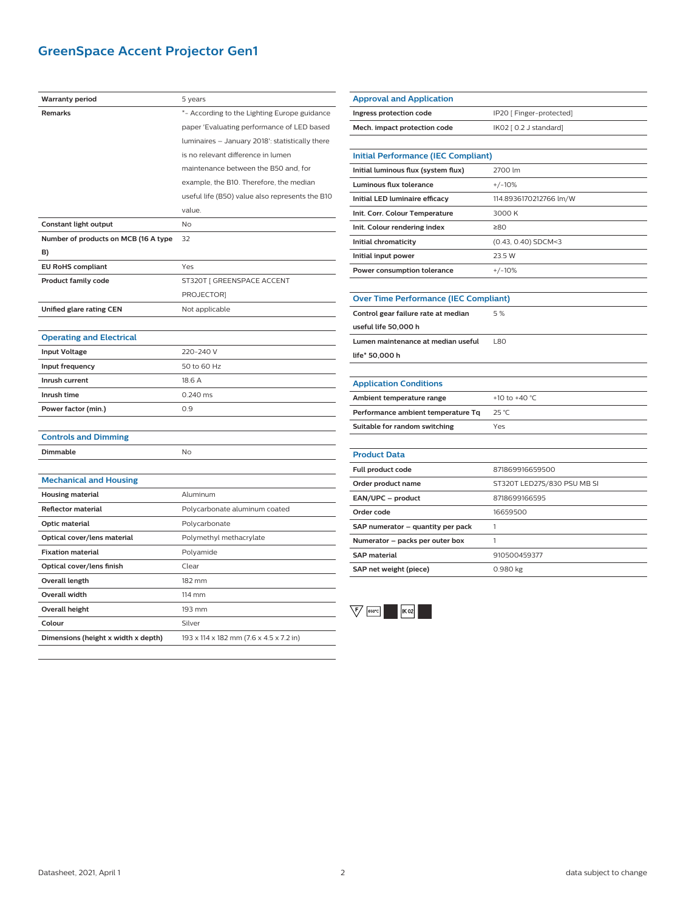# **GreenSpace Accent Projector Gen1**

| <b>Warranty period</b>               | 5 years                                         |
|--------------------------------------|-------------------------------------------------|
| <b>Remarks</b>                       | *- According to the Lighting Europe guidance    |
|                                      | paper 'Evaluating performance of LED based      |
|                                      | luminaires - January 2018': statistically there |
|                                      | is no relevant difference in lumen              |
|                                      | maintenance between the B50 and, for            |
|                                      | example, the B10. Therefore, the median         |
|                                      | useful life (B50) value also represents the B10 |
|                                      | value.                                          |
| Constant light output                | <b>No</b>                                       |
| Number of products on MCB (16 A type | 32                                              |
| B)                                   |                                                 |
| <b>EU RoHS compliant</b>             | Yes                                             |
| <b>Product family code</b>           | ST320T [ GREENSPACE ACCENT                      |
|                                      | PROJECTOR]                                      |
| Unified glare rating CEN             | Not applicable                                  |
|                                      |                                                 |
| <b>Operating and Electrical</b>      |                                                 |
| <b>Input Voltage</b>                 | 220-240 V                                       |
| Input frequency                      | 50 to 60 Hz                                     |
| Inrush current                       | 18.6 A                                          |
| Inrush time                          | 0.240 ms                                        |
| Power factor (min.)                  | 0.9                                             |
|                                      |                                                 |
| <b>Controls and Dimming</b>          |                                                 |
| <b>Dimmable</b>                      | No                                              |
|                                      |                                                 |
| <b>Mechanical and Housing</b>        |                                                 |
| <b>Housing material</b>              | Aluminum                                        |
| <b>Reflector material</b>            | Polycarbonate aluminum coated                   |
| Optic material                       | Polycarbonate                                   |
| Optical cover/lens material          | Polymethyl methacrylate                         |
| <b>Fixation material</b>             | Polyamide                                       |
| Optical cover/lens finish            | Clear                                           |
| Overall length                       | 182 mm                                          |
| Overall width                        | 114 mm                                          |
| <b>Overall height</b>                | 193 mm                                          |
| Colour                               | Silver                                          |
| Dimensions (height x width x depth)  | 193 x 114 x 182 mm (7.6 x 4.5 x 7.2 in)         |
|                                      |                                                 |

| <b>Approval and Application</b>              |                                            |  |  |
|----------------------------------------------|--------------------------------------------|--|--|
| Ingress protection code                      | IP20 [ Finger-protected]                   |  |  |
| Mech. impact protection code                 | IK02 [ 0.2 J standard]                     |  |  |
|                                              |                                            |  |  |
|                                              | <b>Initial Performance (IEC Compliant)</b> |  |  |
| Initial luminous flux (system flux)          | 2700 lm                                    |  |  |
| <b>Luminous flux tolerance</b>               | $+/-10%$                                   |  |  |
| Initial LED luminaire efficacy               | 114.8936170212766 lm/W                     |  |  |
| Init. Corr. Colour Temperature               | 3000 K                                     |  |  |
| Init. Colour rendering index                 | 280                                        |  |  |
| Initial chromaticity                         | (0.43, 0.40) SDCM<3                        |  |  |
| Initial input power                          | 23.5 W                                     |  |  |
| Power consumption tolerance                  | $+/-10%$                                   |  |  |
|                                              |                                            |  |  |
| <b>Over Time Performance (IEC Compliant)</b> |                                            |  |  |
| Control gear failure rate at median          | 5%                                         |  |  |
| useful life 50,000 h                         |                                            |  |  |
| Lumen maintenance at median useful           | L80                                        |  |  |
| life* 50,000 h                               |                                            |  |  |
|                                              |                                            |  |  |
| <b>Application Conditions</b>                |                                            |  |  |
| Ambient temperature range                    | +10 to +40 °C                              |  |  |
| Performance ambient temperature Tq           | 25 °C                                      |  |  |
| Suitable for random switching                | Yes                                        |  |  |
|                                              |                                            |  |  |
| <b>Product Data</b>                          |                                            |  |  |
| Full product code                            | 871869916659500                            |  |  |
| Order product name                           | ST320T LED27S/830 PSU MB SI                |  |  |
| EAN/UPC - product                            | 8718699166595                              |  |  |
| Order code                                   | 16659500                                   |  |  |
| SAP numerator - quantity per pack            | 1                                          |  |  |
| Numerator - packs per outer box              | 1                                          |  |  |
| <b>SAP material</b>                          | 910500459377                               |  |  |
| SAP net weight (piece)                       | 0.980 kg                                   |  |  |

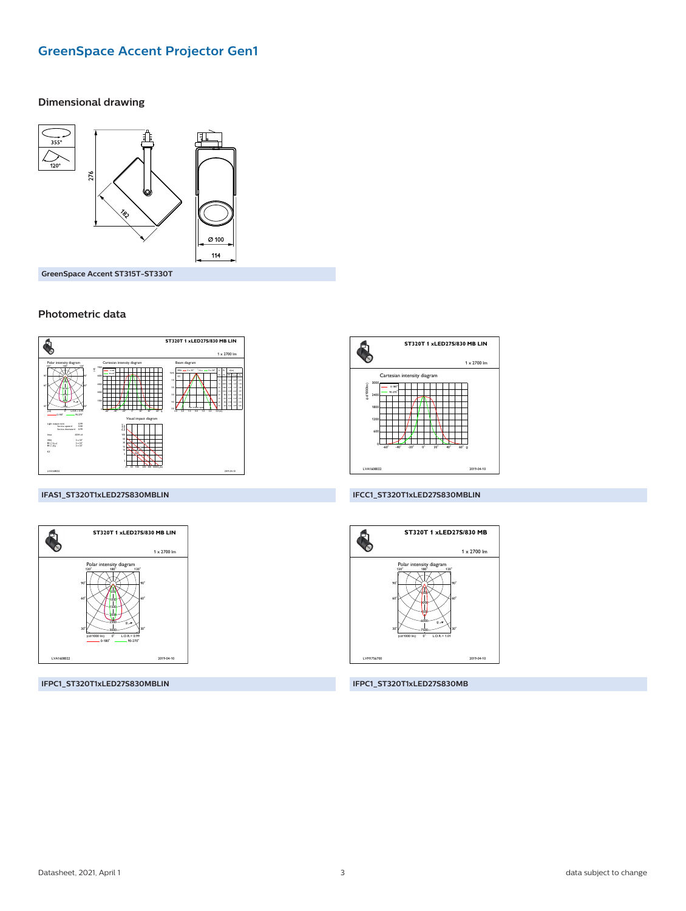# **GreenSpace Accent Projector Gen1**

#### **Dimensional drawing**



GreenSpace Accent ST315T-ST330T

#### Photometric data



#### IFAS1\_ST320T1xLED27S830MBLIN



IFPC1\_ST320T1xLED27S830MBLIN



#### IFCC1\_ST320T1xLED27S830MBLIN



IFPC1\_ST320T1xLED27S830MB